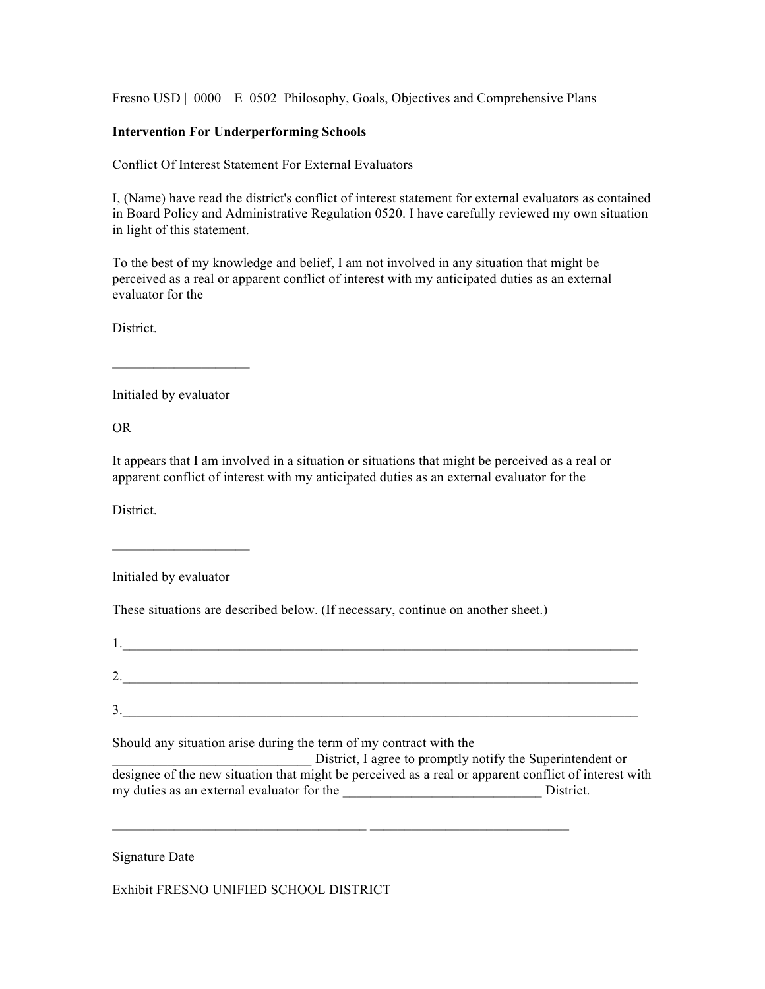Fresno USD | 0000 | E 0502 Philosophy, Goals, Objectives and Comprehensive Plans

## **Intervention For Underperforming Schools**

Conflict Of Interest Statement For External Evaluators

I, (Name) have read the district's conflict of interest statement for external evaluators as contained in Board Policy and Administrative Regulation 0520. I have carefully reviewed my own situation in light of this statement.

To the best of my knowledge and belief, I am not involved in any situation that might be perceived as a real or apparent conflict of interest with my anticipated duties as an external evaluator for the

**District** 

Initialed by evaluator

 $\mathcal{L}_\text{max}$  and  $\mathcal{L}_\text{max}$  and  $\mathcal{L}_\text{max}$ 

OR

It appears that I am involved in a situation or situations that might be perceived as a real or apparent conflict of interest with my anticipated duties as an external evaluator for the

District.

Initialed by evaluator

 $\mathcal{L}_\text{max}$  and  $\mathcal{L}_\text{max}$  and  $\mathcal{L}_\text{max}$ 

These situations are described below. (If necessary, continue on another sheet.)

| ٠. |  |
|----|--|
|    |  |
|    |  |

Should any situation arise during the term of my contract with the

District, I agree to promptly notify the Superintendent or designee of the new situation that might be perceived as a real or apparent conflict of interest with my duties as an external evaluator for the \_\_\_\_\_\_\_\_\_\_\_\_\_\_\_\_\_\_\_\_\_\_\_\_\_\_\_\_\_ District.

 $\mathcal{L}_\text{max} = \mathcal{L}_\text{max} = \mathcal{L}_\text{max} = \mathcal{L}_\text{max} = \mathcal{L}_\text{max} = \mathcal{L}_\text{max} = \mathcal{L}_\text{max} = \mathcal{L}_\text{max} = \mathcal{L}_\text{max} = \mathcal{L}_\text{max} = \mathcal{L}_\text{max} = \mathcal{L}_\text{max} = \mathcal{L}_\text{max} = \mathcal{L}_\text{max} = \mathcal{L}_\text{max} = \mathcal{L}_\text{max} = \mathcal{L}_\text{max} = \mathcal{L}_\text{max} = \mathcal{$ 

Signature Date

Exhibit FRESNO UNIFIED SCHOOL DISTRICT